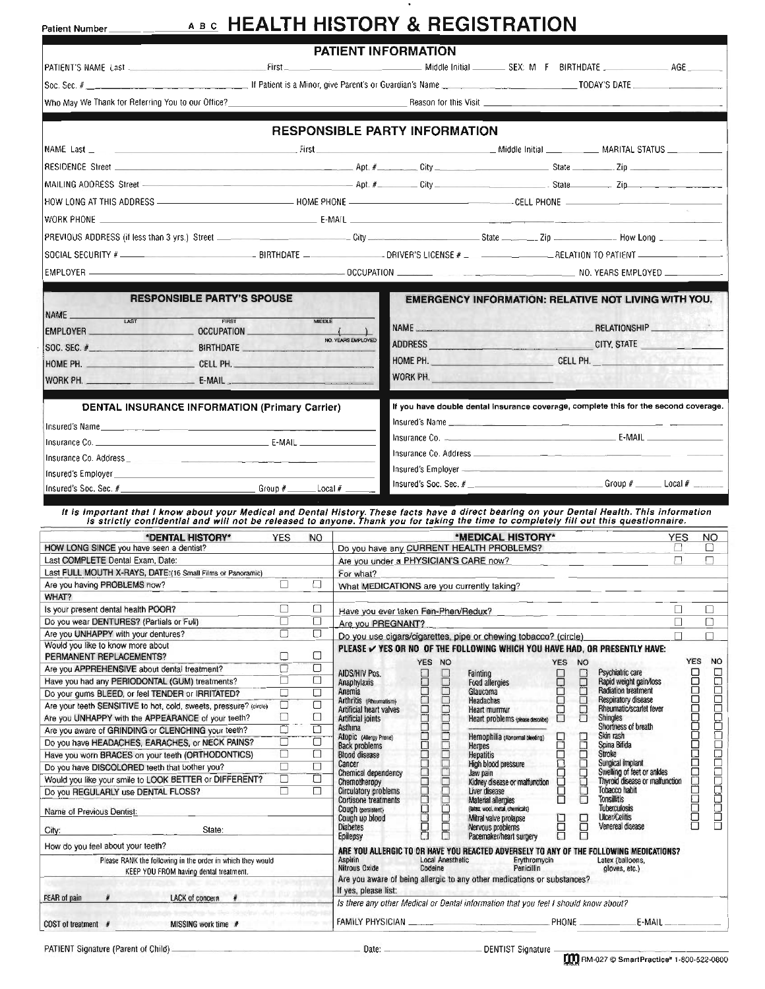### **ABC HEALTH HISTORY & REGISTRATION**

| Patient Number                                                                                                                                                                                                                    |                                                                                                             |             |                                                   |                                     |                                   | <u>ABC</u> NEALIN NIGTUNT & REGISTRATION                                                                                                                                                                                            |                           |                                                              |            |                   |                                       |  |
|-----------------------------------------------------------------------------------------------------------------------------------------------------------------------------------------------------------------------------------|-------------------------------------------------------------------------------------------------------------|-------------|---------------------------------------------------|-------------------------------------|-----------------------------------|-------------------------------------------------------------------------------------------------------------------------------------------------------------------------------------------------------------------------------------|---------------------------|--------------------------------------------------------------|------------|-------------------|---------------------------------------|--|
|                                                                                                                                                                                                                                   |                                                                                                             |             | <b>PATIENT INFORMATION</b>                        |                                     |                                   |                                                                                                                                                                                                                                     |                           |                                                              |            |                   |                                       |  |
|                                                                                                                                                                                                                                   |                                                                                                             |             |                                                   |                                     |                                   |                                                                                                                                                                                                                                     |                           |                                                              |            |                   |                                       |  |
| Who May We Thank for Referring You to our Office? Note that the state of the state of the state of the Second S                                                                                                                   |                                                                                                             |             |                                                   |                                     |                                   | Reason for this Visit <u>entitled</u> and the contract of the contract of the contract of the contract of the contract of the contract of the contract of the contract of the contract of the contract of the contract of the contr |                           |                                                              |            |                   |                                       |  |
|                                                                                                                                                                                                                                   |                                                                                                             |             |                                                   |                                     |                                   |                                                                                                                                                                                                                                     |                           |                                                              |            |                   |                                       |  |
|                                                                                                                                                                                                                                   |                                                                                                             |             | <b>RESPONSIBLE PARTY INFORMATION</b>              |                                     |                                   |                                                                                                                                                                                                                                     |                           |                                                              |            |                   |                                       |  |
| NAME Last MARITAL STATUS And the State of the State of State of Test of State of Test Andrew Middle Initial MARITAL STATUS                                                                                                        |                                                                                                             |             |                                                   |                                     |                                   |                                                                                                                                                                                                                                     |                           |                                                              |            |                   |                                       |  |
|                                                                                                                                                                                                                                   |                                                                                                             |             |                                                   |                                     |                                   |                                                                                                                                                                                                                                     |                           |                                                              |            |                   |                                       |  |
|                                                                                                                                                                                                                                   |                                                                                                             |             |                                                   |                                     |                                   |                                                                                                                                                                                                                                     |                           |                                                              |            |                   |                                       |  |
|                                                                                                                                                                                                                                   |                                                                                                             |             |                                                   |                                     |                                   |                                                                                                                                                                                                                                     |                           |                                                              |            |                   |                                       |  |
|                                                                                                                                                                                                                                   |                                                                                                             |             |                                                   |                                     |                                   |                                                                                                                                                                                                                                     |                           |                                                              |            |                   |                                       |  |
|                                                                                                                                                                                                                                   |                                                                                                             |             |                                                   |                                     |                                   |                                                                                                                                                                                                                                     |                           |                                                              |            |                   |                                       |  |
| SOCIAL SECURITY # __________________________________BIRTHDATE ___________________DRIVER'S LICENSE # _________________RELATION TO PATIENT _______________________                                                                  |                                                                                                             |             |                                                   |                                     |                                   |                                                                                                                                                                                                                                     |                           |                                                              |            |                   |                                       |  |
|                                                                                                                                                                                                                                   |                                                                                                             |             |                                                   |                                     |                                   |                                                                                                                                                                                                                                     |                           |                                                              |            |                   |                                       |  |
|                                                                                                                                                                                                                                   |                                                                                                             |             |                                                   |                                     |                                   |                                                                                                                                                                                                                                     |                           |                                                              |            |                   |                                       |  |
| <b>RESPONSIBLE PARTY'S SPOUSE</b>                                                                                                                                                                                                 |                                                                                                             |             |                                                   |                                     |                                   | <b>EMERGENCY INFORMATION: RELATIVE NOT LIVING WITH YOU.</b>                                                                                                                                                                         |                           |                                                              |            |                   |                                       |  |
| NAME                                                                                                                                                                                                                              | FIRST<br>MIDDLE<br>EMPLOYER CCUPATION ( )                                                                   |             |                                                   |                                     |                                   |                                                                                                                                                                                                                                     | NAME RELATIONSHIP         |                                                              |            |                   |                                       |  |
|                                                                                                                                                                                                                                   | NO. YEARS EMPLOYED                                                                                          |             |                                                   | ADDRESS CITY, STATE CITY, STATE     |                                   |                                                                                                                                                                                                                                     |                           |                                                              |            |                   |                                       |  |
|                                                                                                                                                                                                                                   |                                                                                                             |             |                                                   |                                     | HOME PH. CELL PH.                 |                                                                                                                                                                                                                                     |                           |                                                              |            |                   |                                       |  |
| WORK PH. <b>E-MAIL</b>                                                                                                                                                                                                            |                                                                                                             |             |                                                   | WORK PH.                            |                                   |                                                                                                                                                                                                                                     |                           |                                                              |            |                   |                                       |  |
|                                                                                                                                                                                                                                   |                                                                                                             |             |                                                   |                                     |                                   |                                                                                                                                                                                                                                     |                           |                                                              |            |                   |                                       |  |
| <b>DENTAL INSURANCE INFORMATION (Primary Carrier)</b>                                                                                                                                                                             |                                                                                                             |             |                                                   |                                     |                                   | If you have double dental insurance coverage, complete this for the second coverage.                                                                                                                                                |                           |                                                              |            |                   |                                       |  |
|                                                                                                                                                                                                                                   |                                                                                                             |             |                                                   |                                     |                                   |                                                                                                                                                                                                                                     |                           |                                                              |            |                   |                                       |  |
|                                                                                                                                                                                                                                   |                                                                                                             |             |                                                   |                                     |                                   |                                                                                                                                                                                                                                     |                           |                                                              |            |                   |                                       |  |
|                                                                                                                                                                                                                                   |                                                                                                             |             |                                                   |                                     |                                   |                                                                                                                                                                                                                                     |                           |                                                              |            |                   |                                       |  |
|                                                                                                                                                                                                                                   |                                                                                                             |             |                                                   |                                     |                                   | Insured's Soc. Sec. # ________________________________Group # _______ Local # _______                                                                                                                                               |                           |                                                              |            |                   |                                       |  |
|                                                                                                                                                                                                                                   |                                                                                                             |             |                                                   |                                     |                                   |                                                                                                                                                                                                                                     |                           |                                                              |            |                   |                                       |  |
| It is important that I know about your Medical and Dental History. These facts have a direct bearing on your Dental Health. This information<br>is strictly confidential and will not be released to anyone. Thank you for taking |                                                                                                             |             |                                                   |                                     |                                   |                                                                                                                                                                                                                                     |                           |                                                              |            |                   |                                       |  |
| *DENTAL HISTORY*                                                                                                                                                                                                                  | <b>YES</b><br>and a                                                                                         | <b>NO</b>   |                                                   |                                     |                                   | *MEDICAL HISTORY*                                                                                                                                                                                                                   |                           |                                                              | <b>YES</b> |                   | <b>NO</b>                             |  |
| HOW LONG SINCE you have seen a dentist?<br>Last COMPLETE Dental Exam, Date:                                                                                                                                                       | Do you have any CURRENT HEALTH PROBLEMS?<br>O<br>$\Box$<br>Are you under a PHYSICIAN'S CARE now?<br>Ω.<br>모 |             |                                                   |                                     |                                   |                                                                                                                                                                                                                                     |                           |                                                              |            |                   |                                       |  |
| Last FULL MOUTH X-RAYS, DATE:(16 Small Films or Panoramic)                                                                                                                                                                        |                                                                                                             |             | For what?                                         |                                     |                                   |                                                                                                                                                                                                                                     |                           |                                                              |            |                   |                                       |  |
| Are you having PROBLEMS now?                                                                                                                                                                                                      | $\Box$                                                                                                      | $\Box$      |                                                   |                                     |                                   | What MEDICATIONS are you currently taking?                                                                                                                                                                                          |                           |                                                              |            |                   |                                       |  |
| WHAT?<br>Is your present dental health POOR?                                                                                                                                                                                      | □                                                                                                           | □           |                                                   |                                     |                                   |                                                                                                                                                                                                                                     |                           |                                                              | □          |                   | □                                     |  |
| Do you wear DENTURES? (Partials or Full)                                                                                                                                                                                          | $\Box$                                                                                                      | $\Box$      | Are you PREGNANT?                                 | Have you ever taken Fen-Phen/Redux? |                                   |                                                                                                                                                                                                                                     |                           |                                                              | $\Box$     |                   | $\Box$                                |  |
| Are you UNHAPPY with your dentures?<br>Would you like to know more about                                                                                                                                                          | □                                                                                                           | $\Box$      |                                                   |                                     |                                   | Do you use cigars/cigarettes, pipe or chewing tobacco? (circle)                                                                                                                                                                     |                           |                                                              |            |                   | П                                     |  |
| PERMANENT REPLACEMENTS?                                                                                                                                                                                                           | О                                                                                                           | О           |                                                   |                                     | YES NO                            | PLEASE V YES OR NO OF THE FOLLOWING WHICH YOU HAVE HAD, OR PRESENTLY HAVE:                                                                                                                                                          | <b>YES</b><br><b>NO</b>   |                                                              |            | <b>YES</b>        | <b>NO</b>                             |  |
| Are you APPREHENSIVE about dental treatment?                                                                                                                                                                                      | □<br>□                                                                                                      | О<br>□      | AIDS/HIV Pos.                                     | □                                   |                                   | Fainting                                                                                                                                                                                                                            |                           | Psychiatric care                                             |            |                   |                                       |  |
| Have you had any PERIODONTAL (GUM) treatments?<br>Do your gums BLEED, or feel TENDER or IRRITATED?                                                                                                                                | Ω                                                                                                           | ۵           | Anaphylaxis<br>Anemia                             |                                     |                                   | <b>Food allergies</b><br>Glaucoma                                                                                                                                                                                                   | LOOD                      | Rapid weight gain/loss<br><b>Radiation treatment</b>         |            |                   |                                       |  |
| Are your teeth SENSITIVE to hot, cold, sweets, pressure? (circle)                                                                                                                                                                 | □                                                                                                           | □           | Arthritis (Rheumatism)<br>Artificial heart valves |                                     |                                   | Headaches<br><b>Heart murmur</b>                                                                                                                                                                                                    | book<br>Ē                 | <b>Resoiratory disease</b><br>Rheumatic/scarlet fever        |            |                   |                                       |  |
| Are you UNHAPPY with the APPEARANCE of your teeth?<br>Are you aware of GRINDING or CLENCHING your teeth?                                                                                                                          | □<br>$\Box$                                                                                                 | $\Box$<br>□ | Artificial joints<br>Asthma                       |                                     |                                   | Heart problems (please describe)                                                                                                                                                                                                    | □                         | <b>Shingles</b><br><b>Shortness of breath</b>                |            |                   |                                       |  |
| Do you have HEADACHES, EARACHES, or NECK PAINS?                                                                                                                                                                                   | □                                                                                                           | □           | Atopic (Allergy Prone)<br><b>Back problems</b>    |                                     |                                   | Hemophilia (Abnormal bleeding)<br><b>Herpes</b>                                                                                                                                                                                     |                           | Skin rash<br>Spina Bifida                                    |            | <b>DOCOCOCOCO</b> |                                       |  |
| Have you worn BRACES on your teeth (ORTHODONTICS)                                                                                                                                                                                 | □                                                                                                           | □           | <b>Blood disease</b><br>Cancer                    |                                     |                                   | <b>Hepatitis</b><br>High blood pressure                                                                                                                                                                                             | 88888888<br><b>Beberr</b> | Stroke<br>Surgical implant                                   |            |                   |                                       |  |
| Do you have DISCOLORED teeth that bother you?<br>Would you like your smile to LOOK BETTER or DIFFERENT?                                                                                                                           | □<br>□                                                                                                      | $\Box$<br>□ | Chemical dependency                               |                                     |                                   | Jaw pain                                                                                                                                                                                                                            |                           | Swelling of feet or ankles<br>Thyroid disease or malfunction |            | $\frac{1}{1}$     |                                       |  |
| Do you REGULARLY use DENTAL FLOSS?                                                                                                                                                                                                | □                                                                                                           | □           | Chemotheropy<br>Circulatory problems              |                                     |                                   | Kidney disease or malfunction<br>Liver disease                                                                                                                                                                                      | 8<br>8                    | Tobacco habit                                                |            |                   |                                       |  |
| Name of Previous Dentist:                                                                                                                                                                                                         |                                                                                                             |             | <b>Cortisone treatments</b><br>Cough (persistent) |                                     |                                   | <b>Material allergies</b><br>(latex, wool, metal, chemicals)                                                                                                                                                                        |                           | <b>Tonsillitis</b><br><b>Tuberculosis</b>                    |            | 8<br>8            | <b>uccast de l'angles de l'angles</b> |  |
| State:<br>City:                                                                                                                                                                                                                   |                                                                                                             |             | Cough up blood<br><b>Diabetes</b>                 | apocooperactor and a                | <b>Respondence of the control</b> | Mitral valve prolapse<br>Nervous problems.                                                                                                                                                                                          | 6<br>8                    | <b>Ulcer/Colitis</b><br>Venereal disease                     |            |                   |                                       |  |
| How do you feel about your teeth?                                                                                                                                                                                                 |                                                                                                             |             | Epilepsy                                          |                                     |                                   | Pacemaker/heart surgery                                                                                                                                                                                                             | 戸<br>□                    |                                                              |            |                   |                                       |  |
| Please RANK the following in the order in which they would                                                                                                                                                                        |                                                                                                             |             | Aspirin                                           |                                     | <b>Local Anesthetic</b>           | ARE YOU ALLERGIC TO OR HAVE YOU REACTED ADVERSELY TO ANY OF THE FOLLOWING MEDICATIONS?<br>Erythromycin                                                                                                                              |                           | Latex (balloons,                                             |            |                   |                                       |  |
| KEEP YOU FROM having dental treatment.                                                                                                                                                                                            |                                                                                                             |             | Nitrous Oxide                                     |                                     | Codeine                           | Penicillin<br>Are you aware of being allergic to any other medications or substances?                                                                                                                                               |                           | gloves, etc.)                                                |            |                   |                                       |  |
| LACK of concer».<br><b>FEAR of pain</b>                                                                                                                                                                                           |                                                                                                             |             | If yes, please list:                              |                                     |                                   |                                                                                                                                                                                                                                     |                           |                                                              |            |                   |                                       |  |

Is there any other Medical or Dental information that you feel I should know about? FAMILY PHYSICIAN COST of treatment # MISSING work time #

PATIENT Signature (Parent of Child) ...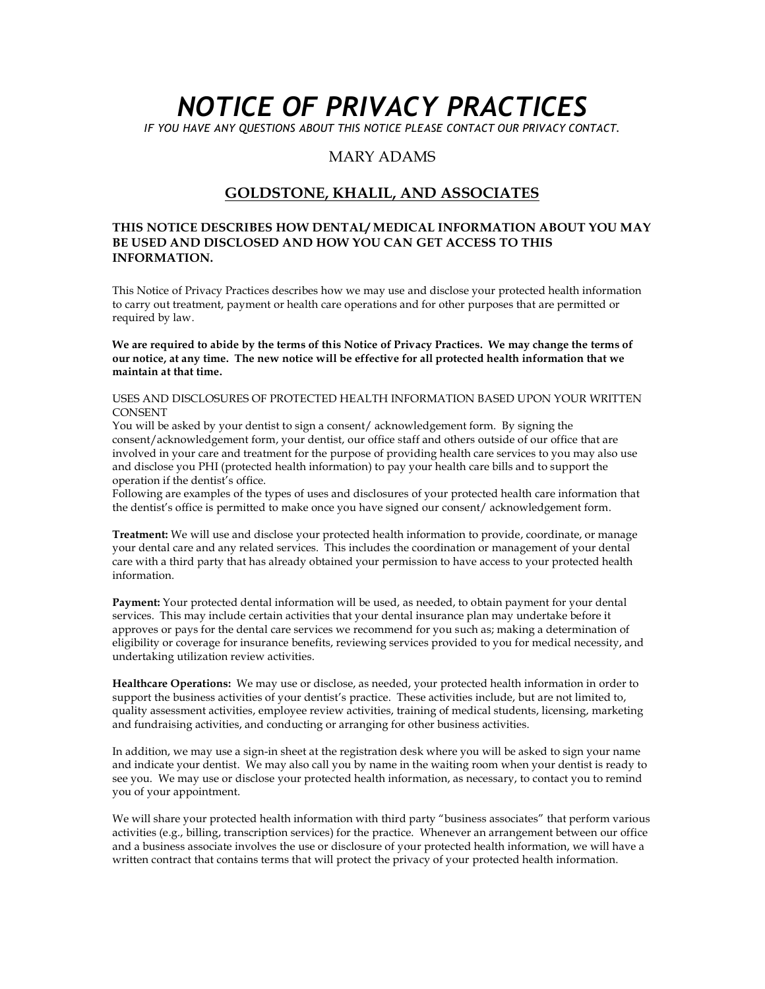# *NOTICE OF PRIVACY PRACTICES*

*IF YOU HAVE ANY QUESTIONS ABOUT THIS NOTICE PLEASE CONTACT OUR PRIVACY CONTACT.*

#### MARY ADAMS

#### **GOLDSTONE, KHALIL, AND ASSOCIATES**

#### **THIS NOTICE DESCRIBES HOW DENTAL/ MEDICAL INFORMATION ABOUT YOU MAY BE USED AND DISCLOSED AND HOW YOU CAN GET ACCESS TO THIS INFORMATION.**

This Notice of Privacy Practices describes how we may use and disclose your protected health information to carry out treatment, payment or health care operations and for other purposes that are permitted or required by law.

**We are required to abide by the terms of this Notice of Privacy Practices. We may change the terms of our notice, at any time. The new notice will be effective for all protected health information that we maintain at that time.**

#### USES AND DISCLOSURES OF PROTECTED HEALTH INFORMATION BASED UPON YOUR WRITTEN **CONSENT**

You will be asked by your dentist to sign a consent/ acknowledgement form. By signing the consent/acknowledgement form, your dentist, our office staff and others outside of our office that are involved in your care and treatment for the purpose of providing health care services to you may also use and disclose you PHI (protected health information) to pay your health care bills and to support the operation if the dentist's office.

Following are examples of the types of uses and disclosures of your protected health care information that the dentist's office is permitted to make once you have signed our consent/ acknowledgement form.

**Treatment:** We will use and disclose your protected health information to provide, coordinate, or manage your dental care and any related services. This includes the coordination or management of your dental care with a third party that has already obtained your permission to have access to your protected health information.

**Payment:** Your protected dental information will be used, as needed, to obtain payment for your dental services. This may include certain activities that your dental insurance plan may undertake before it approves or pays for the dental care services we recommend for you such as; making a determination of eligibility or coverage for insurance benefits, reviewing services provided to you for medical necessity, and undertaking utilization review activities.

**Healthcare Operations:** We may use or disclose, as needed, your protected health information in order to support the business activities of your dentist's practice. These activities include, but are not limited to, quality assessment activities, employee review activities, training of medical students, licensing, marketing and fundraising activities, and conducting or arranging for other business activities.

In addition, we may use a sign-in sheet at the registration desk where you will be asked to sign your name and indicate your dentist. We may also call you by name in the waiting room when your dentist is ready to see you. We may use or disclose your protected health information, as necessary, to contact you to remind you of your appointment.

We will share your protected health information with third party "business associates" that perform various activities (e.g., billing, transcription services) for the practice. Whenever an arrangement between our office and a business associate involves the use or disclosure of your protected health information, we will have a written contract that contains terms that will protect the privacy of your protected health information.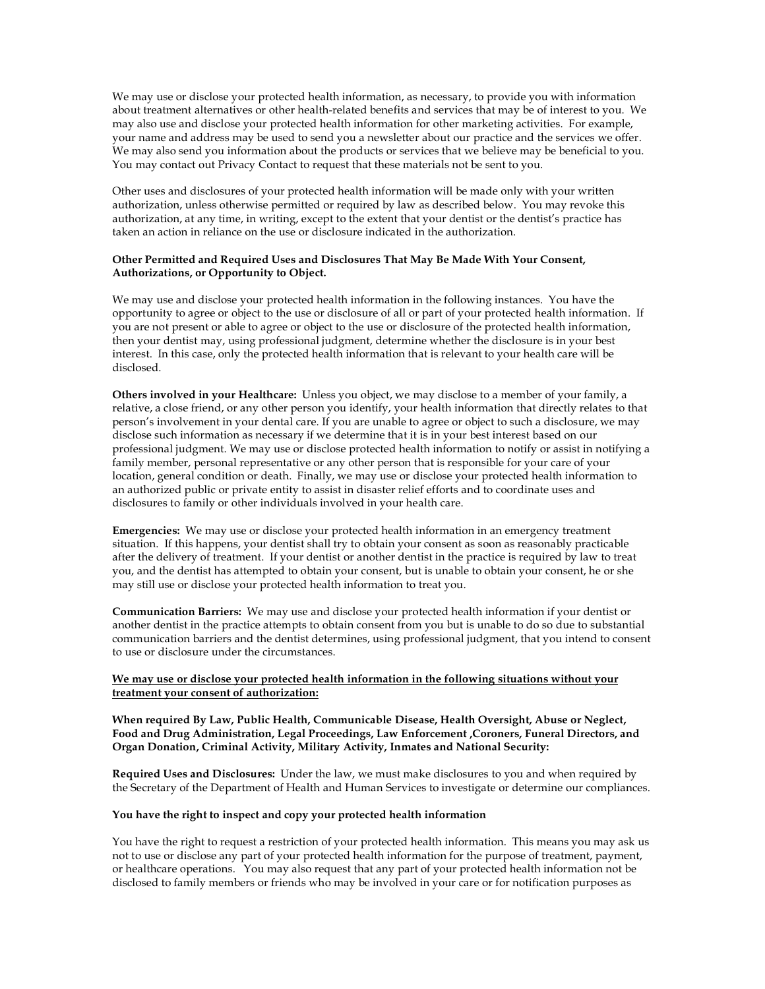We may use or disclose your protected health information, as necessary, to provide you with information about treatment alternatives or other health-related benefits and services that may be of interest to you. We may also use and disclose your protected health information for other marketing activities. For example, your name and address may be used to send you a newsletter about our practice and the services we offer. We may also send you information about the products or services that we believe may be beneficial to you. You may contact out Privacy Contact to request that these materials not be sent to you.

Other uses and disclosures of your protected health information will be made only with your written authorization, unless otherwise permitted or required by law as described below. You may revoke this authorization, at any time, in writing, except to the extent that your dentist or the dentist's practice has taken an action in reliance on the use or disclosure indicated in the authorization.

#### **Other Permitted and Required Uses and Disclosures That May Be Made With Your Consent, Authorizations, or Opportunity to Object.**

We may use and disclose your protected health information in the following instances. You have the opportunity to agree or object to the use or disclosure of all or part of your protected health information. If you are not present or able to agree or object to the use or disclosure of the protected health information, then your dentist may, using professional judgment, determine whether the disclosure is in your best interest. In this case, only the protected health information that is relevant to your health care will be disclosed.

**Others involved in your Healthcare:** Unless you object, we may disclose to a member of your family, a relative, a close friend, or any other person you identify, your health information that directly relates to that person's involvement in your dental care. If you are unable to agree or object to such a disclosure, we may disclose such information as necessary if we determine that it is in your best interest based on our professional judgment. We may use or disclose protected health information to notify or assist in notifying a family member, personal representative or any other person that is responsible for your care of your location, general condition or death. Finally, we may use or disclose your protected health information to an authorized public or private entity to assist in disaster relief efforts and to coordinate uses and disclosures to family or other individuals involved in your health care.

**Emergencies:** We may use or disclose your protected health information in an emergency treatment situation. If this happens, your dentist shall try to obtain your consent as soon as reasonably practicable after the delivery of treatment. If your dentist or another dentist in the practice is required by law to treat you, and the dentist has attempted to obtain your consent, but is unable to obtain your consent, he or she may still use or disclose your protected health information to treat you.

**Communication Barriers:** We may use and disclose your protected health information if your dentist or another dentist in the practice attempts to obtain consent from you but is unable to do so due to substantial communication barriers and the dentist determines, using professional judgment, that you intend to consent to use or disclosure under the circumstances.

#### **We may use or disclose your protected health information in the following situations without your treatment your consent of authorization:**

**When required By Law, Public Health, Communicable Disease, Health Oversight, Abuse or Neglect, Food and Drug Administration, Legal Proceedings, Law Enforcement ,Coroners, Funeral Directors, and Organ Donation, Criminal Activity, Military Activity, Inmates and National Security:**

**Required Uses and Disclosures:** Under the law, we must make disclosures to you and when required by the Secretary of the Department of Health and Human Services to investigate or determine our compliances.

#### **You have the right to inspect and copy your protected health information**

You have the right to request a restriction of your protected health information. This means you may ask us not to use or disclose any part of your protected health information for the purpose of treatment, payment, or healthcare operations. You may also request that any part of your protected health information not be disclosed to family members or friends who may be involved in your care or for notification purposes as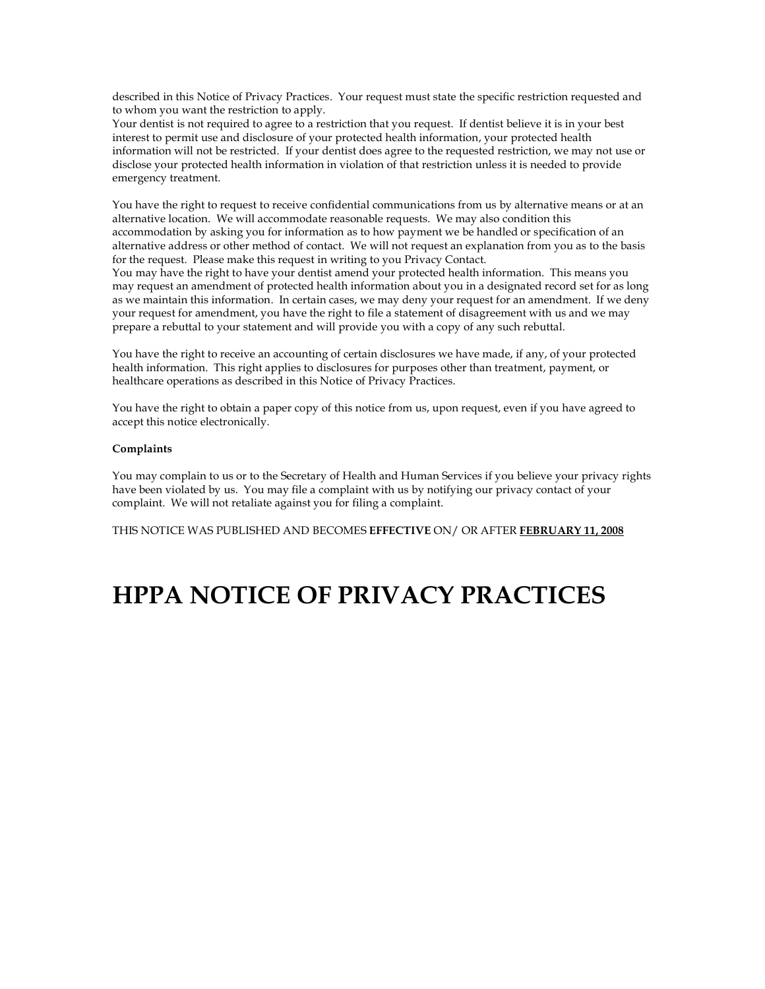described in this Notice of Privacy Practices. Your request must state the specific restriction requested and to whom you want the restriction to apply.

Your dentist is not required to agree to a restriction that you request. If dentist believe it is in your best interest to permit use and disclosure of your protected health information, your protected health information will not be restricted. If your dentist does agree to the requested restriction, we may not use or disclose your protected health information in violation of that restriction unless it is needed to provide emergency treatment.

You have the right to request to receive confidential communications from us by alternative means or at an alternative location. We will accommodate reasonable requests. We may also condition this accommodation by asking you for information as to how payment we be handled or specification of an alternative address or other method of contact. We will not request an explanation from you as to the basis for the request. Please make this request in writing to you Privacy Contact.

You may have the right to have your dentist amend your protected health information. This means you may request an amendment of protected health information about you in a designated record set for as long as we maintain this information. In certain cases, we may deny your request for an amendment. If we deny your request for amendment, you have the right to file a statement of disagreement with us and we may prepare a rebuttal to your statement and will provide you with a copy of any such rebuttal.

You have the right to receive an accounting of certain disclosures we have made, if any, of your protected health information. This right applies to disclosures for purposes other than treatment, payment, or healthcare operations as described in this Notice of Privacy Practices.

You have the right to obtain a paper copy of this notice from us, upon request, even if you have agreed to accept this notice electronically.

#### **Complaints**

You may complain to us or to the Secretary of Health and Human Services if you believe your privacy rights have been violated by us. You may file a complaint with us by notifying our privacy contact of your complaint. We will not retaliate against you for filing a complaint.

THIS NOTICE WAS PUBLISHED AND BECOMES **EFFECTIVE** ON/ OR AFTER **FEBRUARY 11, 2008**

## **HPPA NOTICE OF PRIVACY PRACTICES**